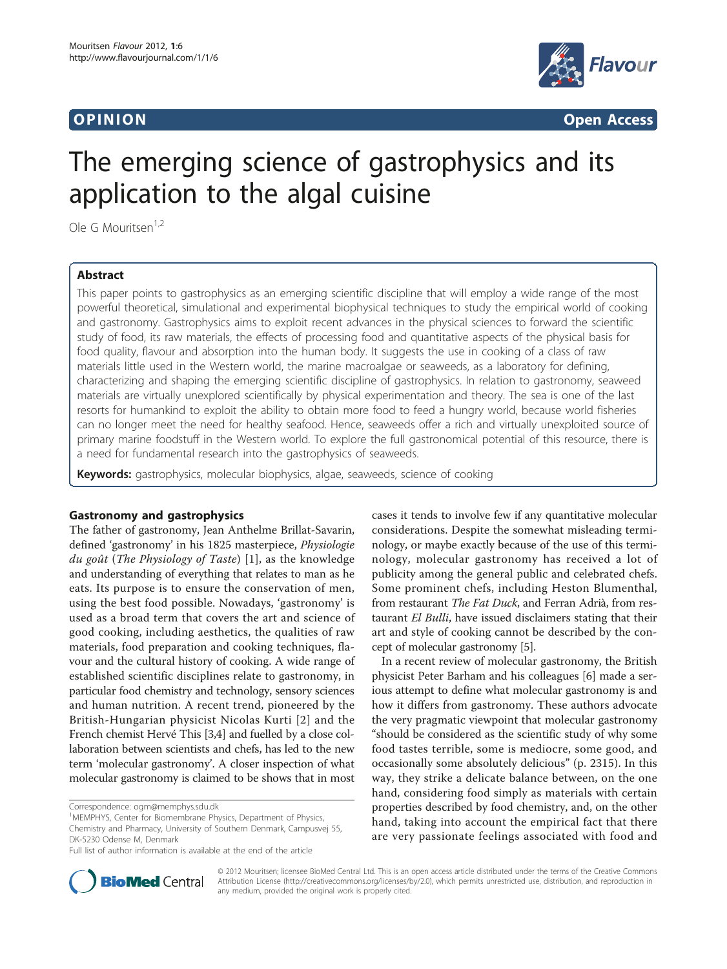

OPINION Open Access

# The emerging science of gastrophysics and its application to the algal cuisine

Ole G Mouritsen<sup>1,2</sup>

# Abstract

This paper points to gastrophysics as an emerging scientific discipline that will employ a wide range of the most powerful theoretical, simulational and experimental biophysical techniques to study the empirical world of cooking and gastronomy. Gastrophysics aims to exploit recent advances in the physical sciences to forward the scientific study of food, its raw materials, the effects of processing food and quantitative aspects of the physical basis for food quality, flavour and absorption into the human body. It suggests the use in cooking of a class of raw materials little used in the Western world, the marine macroalgae or seaweeds, as a laboratory for defining, characterizing and shaping the emerging scientific discipline of gastrophysics. In relation to gastronomy, seaweed materials are virtually unexplored scientifically by physical experimentation and theory. The sea is one of the last resorts for humankind to exploit the ability to obtain more food to feed a hungry world, because world fisheries can no longer meet the need for healthy seafood. Hence, seaweeds offer a rich and virtually unexploited source of primary marine foodstuff in the Western world. To explore the full gastronomical potential of this resource, there is a need for fundamental research into the gastrophysics of seaweeds.

Keywords: gastrophysics, molecular biophysics, algae, seaweeds, science of cooking

# Gastronomy and gastrophysics

The father of gastronomy, Jean Anthelme Brillat-Savarin, defined 'gastronomy' in his 1825 masterpiece, Physiologie du goût (The Physiology of Taste) [[1\]](#page-7-0), as the knowledge and understanding of everything that relates to man as he eats. Its purpose is to ensure the conservation of men, using the best food possible. Nowadays, 'gastronomy' is used as a broad term that covers the art and science of good cooking, including aesthetics, the qualities of raw materials, food preparation and cooking techniques, flavour and the cultural history of cooking. A wide range of established scientific disciplines relate to gastronomy, in particular food chemistry and technology, sensory sciences and human nutrition. A recent trend, pioneered by the British-Hungarian physicist Nicolas Kurti [[2](#page-7-0)] and the French chemist Hervé This [\[3,4](#page-7-0)] and fuelled by a close collaboration between scientists and chefs, has led to the new term 'molecular gastronomy'. A closer inspection of what molecular gastronomy is claimed to be shows that in most

Correspondence: [ogm@memphys.sdu.dk](mailto:ogm@memphys.sdu.dk)

cases it tends to involve few if any quantitative molecular considerations. Despite the somewhat misleading terminology, or maybe exactly because of the use of this terminology, molecular gastronomy has received a lot of publicity among the general public and celebrated chefs. Some prominent chefs, including Heston Blumenthal, from restaurant The Fat Duck, and Ferran Adrià, from restaurant El Bulli, have issued disclaimers stating that their art and style of cooking cannot be described by the concept of molecular gastronomy [\[5](#page-7-0)].

In a recent review of molecular gastronomy, the British physicist Peter Barham and his colleagues [\[6](#page-7-0)] made a serious attempt to define what molecular gastronomy is and how it differs from gastronomy. These authors advocate the very pragmatic viewpoint that molecular gastronomy "should be considered as the scientific study of why some food tastes terrible, some is mediocre, some good, and occasionally some absolutely delicious" (p. 2315). In this way, they strike a delicate balance between, on the one hand, considering food simply as materials with certain properties described by food chemistry, and, on the other hand, taking into account the empirical fact that there are very passionate feelings associated with food and



© 2012 Mouritsen; licensee BioMed Central Ltd. This is an open access article distributed under the terms of the Creative Commons Attribution License [\(http://creativecommons.org/licenses/by/2.0](http://creativecommons.org/licenses/by/2.0)), which permits unrestricted use, distribution, and reproduction in any medium, provided the original work is properly cited.

<sup>&</sup>lt;sup>1</sup>MEMPHYS, Center for Biomembrane Physics, Department of Physics, Chemistry and Pharmacy, University of Southern Denmark, Campusvej 55, DK-5230 Odense M, Denmark

Full list of author information is available at the end of the article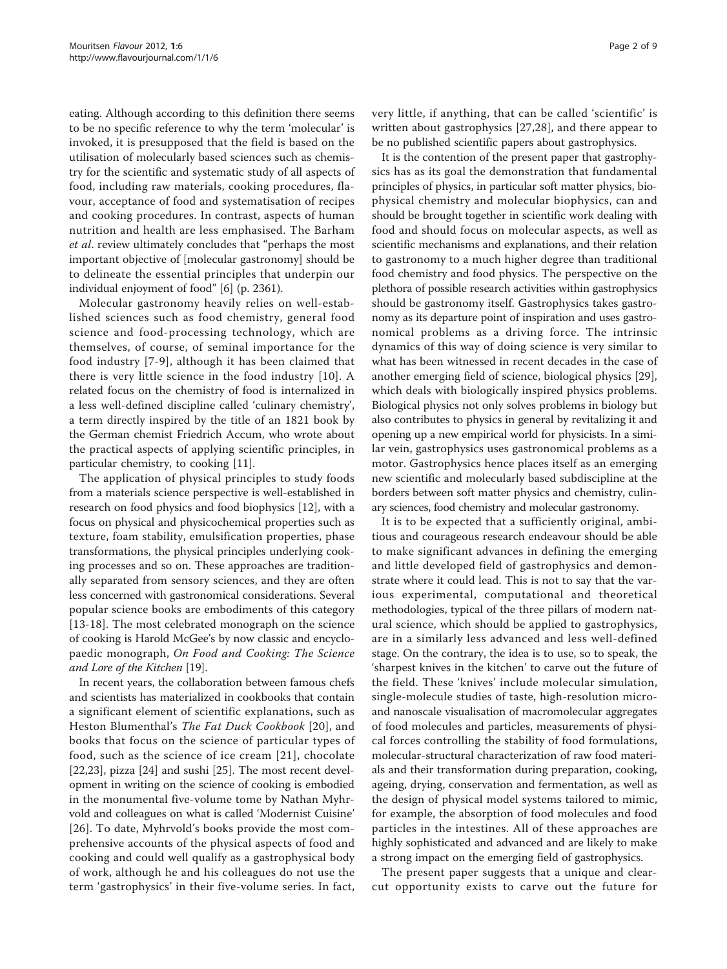eating. Although according to this definition there seems to be no specific reference to why the term 'molecular' is invoked, it is presupposed that the field is based on the utilisation of molecularly based sciences such as chemistry for the scientific and systematic study of all aspects of food, including raw materials, cooking procedures, flavour, acceptance of food and systematisation of recipes and cooking procedures. In contrast, aspects of human nutrition and health are less emphasised. The Barham et al. review ultimately concludes that "perhaps the most important objective of [molecular gastronomy] should be to delineate the essential principles that underpin our individual enjoyment of food" [\[6](#page-7-0)] (p. 2361).

Molecular gastronomy heavily relies on well-established sciences such as food chemistry, general food science and food-processing technology, which are themselves, of course, of seminal importance for the food industry [[7-9\]](#page-7-0), although it has been claimed that there is very little science in the food industry [\[10](#page-7-0)]. A related focus on the chemistry of food is internalized in a less well-defined discipline called 'culinary chemistry', a term directly inspired by the title of an 1821 book by the German chemist Friedrich Accum, who wrote about the practical aspects of applying scientific principles, in particular chemistry, to cooking [\[11\]](#page-7-0).

The application of physical principles to study foods from a materials science perspective is well-established in research on food physics and food biophysics [\[12](#page-7-0)], with a focus on physical and physicochemical properties such as texture, foam stability, emulsification properties, phase transformations, the physical principles underlying cooking processes and so on. These approaches are traditionally separated from sensory sciences, and they are often less concerned with gastronomical considerations. Several popular science books are embodiments of this category [[13-18\]](#page-7-0). The most celebrated monograph on the science of cooking is Harold McGee's by now classic and encyclopaedic monograph, On Food and Cooking: The Science and Lore of the Kitchen [\[19\]](#page-7-0).

In recent years, the collaboration between famous chefs and scientists has materialized in cookbooks that contain a significant element of scientific explanations, such as Heston Blumenthal's The Fat Duck Cookbook [\[20](#page-7-0)], and books that focus on the science of particular types of food, such as the science of ice cream [\[21\]](#page-7-0), chocolate [[22,23\]](#page-7-0), pizza [[24\]](#page-7-0) and sushi [\[25](#page-7-0)]. The most recent development in writing on the science of cooking is embodied in the monumental five-volume tome by Nathan Myhrvold and colleagues on what is called 'Modernist Cuisine' [[26](#page-7-0)]. To date, Myhrvold's books provide the most comprehensive accounts of the physical aspects of food and cooking and could well qualify as a gastrophysical body of work, although he and his colleagues do not use the term 'gastrophysics' in their five-volume series. In fact, very little, if anything, that can be called 'scientific' is written about gastrophysics [[27,28](#page-7-0)], and there appear to be no published scientific papers about gastrophysics.

It is the contention of the present paper that gastrophysics has as its goal the demonstration that fundamental principles of physics, in particular soft matter physics, biophysical chemistry and molecular biophysics, can and should be brought together in scientific work dealing with food and should focus on molecular aspects, as well as scientific mechanisms and explanations, and their relation to gastronomy to a much higher degree than traditional food chemistry and food physics. The perspective on the plethora of possible research activities within gastrophysics should be gastronomy itself. Gastrophysics takes gastronomy as its departure point of inspiration and uses gastronomical problems as a driving force. The intrinsic dynamics of this way of doing science is very similar to what has been witnessed in recent decades in the case of another emerging field of science, biological physics [\[29](#page-7-0)], which deals with biologically inspired physics problems. Biological physics not only solves problems in biology but also contributes to physics in general by revitalizing it and opening up a new empirical world for physicists. In a similar vein, gastrophysics uses gastronomical problems as a motor. Gastrophysics hence places itself as an emerging new scientific and molecularly based subdiscipline at the borders between soft matter physics and chemistry, culinary sciences, food chemistry and molecular gastronomy.

It is to be expected that a sufficiently original, ambitious and courageous research endeavour should be able to make significant advances in defining the emerging and little developed field of gastrophysics and demonstrate where it could lead. This is not to say that the various experimental, computational and theoretical methodologies, typical of the three pillars of modern natural science, which should be applied to gastrophysics, are in a similarly less advanced and less well-defined stage. On the contrary, the idea is to use, so to speak, the 'sharpest knives in the kitchen' to carve out the future of the field. These 'knives' include molecular simulation, single-molecule studies of taste, high-resolution microand nanoscale visualisation of macromolecular aggregates of food molecules and particles, measurements of physical forces controlling the stability of food formulations, molecular-structural characterization of raw food materials and their transformation during preparation, cooking, ageing, drying, conservation and fermentation, as well as the design of physical model systems tailored to mimic, for example, the absorption of food molecules and food particles in the intestines. All of these approaches are highly sophisticated and advanced and are likely to make a strong impact on the emerging field of gastrophysics.

The present paper suggests that a unique and clearcut opportunity exists to carve out the future for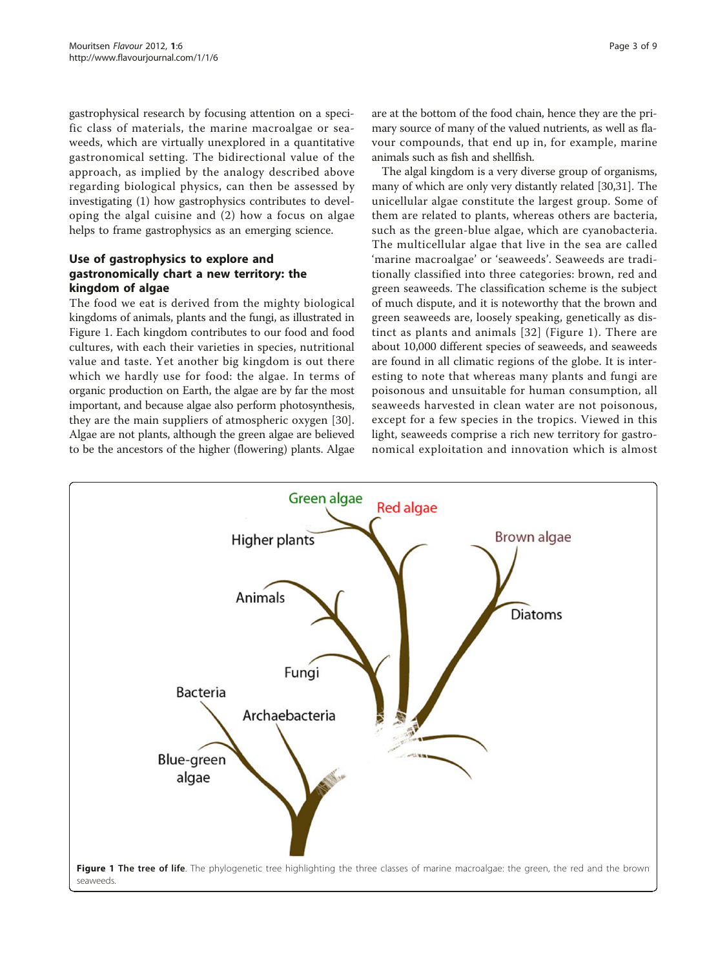gastrophysical research by focusing attention on a specific class of materials, the marine macroalgae or seaweeds, which are virtually unexplored in a quantitative gastronomical setting. The bidirectional value of the approach, as implied by the analogy described above regarding biological physics, can then be assessed by investigating (1) how gastrophysics contributes to developing the algal cuisine and (2) how a focus on algae helps to frame gastrophysics as an emerging science.

# Use of gastrophysics to explore and gastronomically chart a new territory: the kingdom of algae

The food we eat is derived from the mighty biological kingdoms of animals, plants and the fungi, as illustrated in Figure 1. Each kingdom contributes to our food and food cultures, with each their varieties in species, nutritional value and taste. Yet another big kingdom is out there which we hardly use for food: the algae. In terms of organic production on Earth, the algae are by far the most important, and because algae also perform photosynthesis, they are the main suppliers of atmospheric oxygen [[30](#page-7-0)]. Algae are not plants, although the green algae are believed to be the ancestors of the higher (flowering) plants. Algae

The algal kingdom is a very diverse group of organisms, many of which are only very distantly related [[30,31](#page-7-0)]. The unicellular algae constitute the largest group. Some of them are related to plants, whereas others are bacteria, such as the green-blue algae, which are cyanobacteria. The multicellular algae that live in the sea are called 'marine macroalgae' or 'seaweeds'. Seaweeds are traditionally classified into three categories: brown, red and green seaweeds. The classification scheme is the subject of much dispute, and it is noteworthy that the brown and green seaweeds are, loosely speaking, genetically as distinct as plants and animals [[32](#page-7-0)] (Figure 1). There are about 10,000 different species of seaweeds, and seaweeds are found in all climatic regions of the globe. It is interesting to note that whereas many plants and fungi are poisonous and unsuitable for human consumption, all seaweeds harvested in clean water are not poisonous, except for a few species in the tropics. Viewed in this light, seaweeds comprise a rich new territory for gastronomical exploitation and innovation which is almost

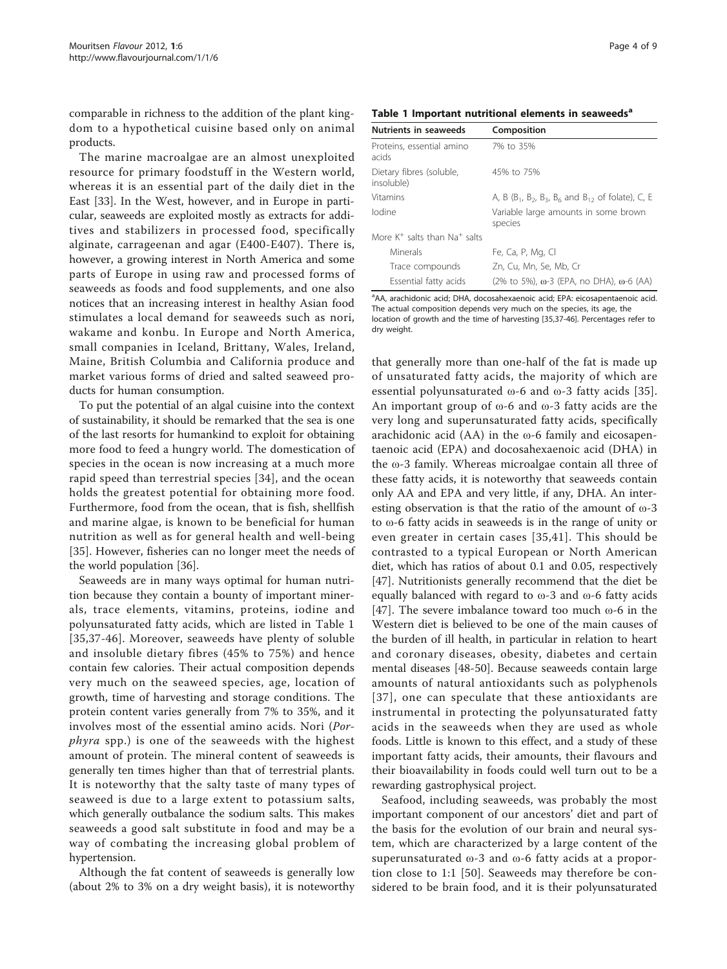comparable in richness to the addition of the plant kingdom to a hypothetical cuisine based only on animal products.

The marine macroalgae are an almost unexploited resource for primary foodstuff in the Western world, whereas it is an essential part of the daily diet in the East [\[33](#page-7-0)]. In the West, however, and in Europe in particular, seaweeds are exploited mostly as extracts for additives and stabilizers in processed food, specifically alginate, carrageenan and agar (E400-E407). There is, however, a growing interest in North America and some parts of Europe in using raw and processed forms of seaweeds as foods and food supplements, and one also notices that an increasing interest in healthy Asian food stimulates a local demand for seaweeds such as nori, wakame and konbu. In Europe and North America, small companies in Iceland, Brittany, Wales, Ireland, Maine, British Columbia and California produce and market various forms of dried and salted seaweed products for human consumption.

To put the potential of an algal cuisine into the context of sustainability, it should be remarked that the sea is one of the last resorts for humankind to exploit for obtaining more food to feed a hungry world. The domestication of species in the ocean is now increasing at a much more rapid speed than terrestrial species [[34](#page-7-0)], and the ocean holds the greatest potential for obtaining more food. Furthermore, food from the ocean, that is fish, shellfish and marine algae, is known to be beneficial for human nutrition as well as for general health and well-being [[35\]](#page-7-0). However, fisheries can no longer meet the needs of the world population [[36\]](#page-7-0).

Seaweeds are in many ways optimal for human nutrition because they contain a bounty of important minerals, trace elements, vitamins, proteins, iodine and polyunsaturated fatty acids, which are listed in Table 1 [[35](#page-7-0),[37-46\]](#page-7-0). Moreover, seaweeds have plenty of soluble and insoluble dietary fibres (45% to 75%) and hence contain few calories. Their actual composition depends very much on the seaweed species, age, location of growth, time of harvesting and storage conditions. The protein content varies generally from 7% to 35%, and it involves most of the essential amino acids. Nori (Porphyra spp.) is one of the seaweeds with the highest amount of protein. The mineral content of seaweeds is generally ten times higher than that of terrestrial plants. It is noteworthy that the salty taste of many types of seaweed is due to a large extent to potassium salts, which generally outbalance the sodium salts. This makes seaweeds a good salt substitute in food and may be a way of combating the increasing global problem of hypertension.

Although the fat content of seaweeds is generally low (about 2% to 3% on a dry weight basis), it is noteworthy

| <b>Nutrients in seaweeds</b>           | Composition                                              |
|----------------------------------------|----------------------------------------------------------|
| Proteins, essential amino<br>acids     | 7% to 35%                                                |
| Dietary fibres (soluble,<br>insoluble) | 45% to 75%                                               |
| Vitamins                               | A, B $(B_1, B_2, B_3, B_6$ and $B_{12}$ of folate), C, E |
| lodine                                 | Variable large amounts in some brown<br>species          |
| More $K^+$ salts than $Na^+$ salts     |                                                          |
| Minerals                               | Fe, Ca, P, Mg, Cl                                        |
| Trace compounds                        | Zn, Cu, Mn, Se, Mb, Cr                                   |
| Essential fatty acids                  | $(2%$ to 5%), ω-3 (EPA, no DHA), ω-6 (AA)                |

<sup>a</sup>AA, arachidonic acid; DHA, docosahexaenoic acid; EPA: eicosapentaenoic acid The actual composition depends very much on the species, its age, the location of growth and the time of harvesting [\[35](#page-7-0),[37-46](#page-7-0)]. Percentages refer to dry weight.

that generally more than one-half of the fat is made up of unsaturated fatty acids, the majority of which are essential polyunsaturated ω-6 and ω-3 fatty acids [[35](#page-7-0)]. An important group of ω-6 and ω-3 fatty acids are the very long and superunsaturated fatty acids, specifically arachidonic acid  $(AA)$  in the  $\omega$ -6 family and eicosapentaenoic acid (EPA) and docosahexaenoic acid (DHA) in the ω-3 family. Whereas microalgae contain all three of these fatty acids, it is noteworthy that seaweeds contain only AA and EPA and very little, if any, DHA. An interesting observation is that the ratio of the amount of ω-3 to ω-6 fatty acids in seaweeds is in the range of unity or even greater in certain cases [[35,41\]](#page-7-0). This should be contrasted to a typical European or North American diet, which has ratios of about 0.1 and 0.05, respectively [[47\]](#page-7-0). Nutritionists generally recommend that the diet be equally balanced with regard to ω-3 and ω-6 fatty acids [[47\]](#page-7-0). The severe imbalance toward too much ω-6 in the Western diet is believed to be one of the main causes of the burden of ill health, in particular in relation to heart and coronary diseases, obesity, diabetes and certain mental diseases [[48-50\]](#page-7-0). Because seaweeds contain large amounts of natural antioxidants such as polyphenols [[37](#page-7-0)], one can speculate that these antioxidants are instrumental in protecting the polyunsaturated fatty acids in the seaweeds when they are used as whole foods. Little is known to this effect, and a study of these important fatty acids, their amounts, their flavours and their bioavailability in foods could well turn out to be a rewarding gastrophysical project.

Seafood, including seaweeds, was probably the most important component of our ancestors' diet and part of the basis for the evolution of our brain and neural system, which are characterized by a large content of the superunsaturated ω-3 and ω-6 fatty acids at a proportion close to 1:1 [[50](#page-7-0)]. Seaweeds may therefore be considered to be brain food, and it is their polyunsaturated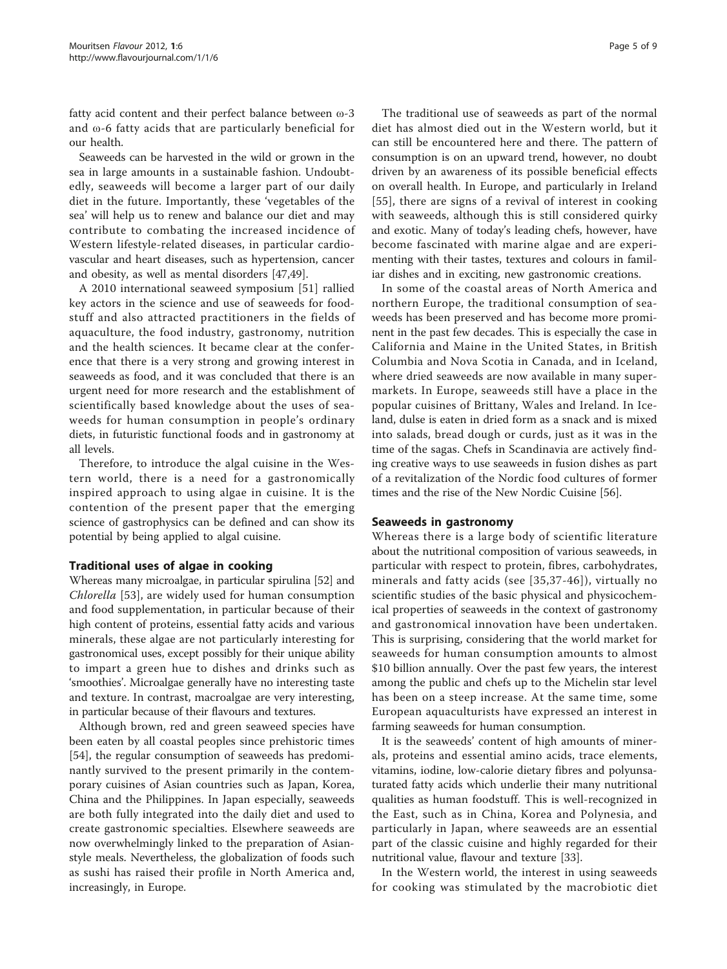fatty acid content and their perfect balance between ω-3 and ω-6 fatty acids that are particularly beneficial for our health.

Seaweeds can be harvested in the wild or grown in the sea in large amounts in a sustainable fashion. Undoubtedly, seaweeds will become a larger part of our daily diet in the future. Importantly, these 'vegetables of the sea' will help us to renew and balance our diet and may contribute to combating the increased incidence of Western lifestyle-related diseases, in particular cardiovascular and heart diseases, such as hypertension, cancer and obesity, as well as mental disorders [[47,49](#page-7-0)].

A 2010 international seaweed symposium [[51\]](#page-7-0) rallied key actors in the science and use of seaweeds for foodstuff and also attracted practitioners in the fields of aquaculture, the food industry, gastronomy, nutrition and the health sciences. It became clear at the conference that there is a very strong and growing interest in seaweeds as food, and it was concluded that there is an urgent need for more research and the establishment of scientifically based knowledge about the uses of seaweeds for human consumption in people's ordinary diets, in futuristic functional foods and in gastronomy at all levels.

Therefore, to introduce the algal cuisine in the Western world, there is a need for a gastronomically inspired approach to using algae in cuisine. It is the contention of the present paper that the emerging science of gastrophysics can be defined and can show its potential by being applied to algal cuisine.

# Traditional uses of algae in cooking

Whereas many microalgae, in particular spirulina [\[52\]](#page-8-0) and Chlorella [[53\]](#page-8-0), are widely used for human consumption and food supplementation, in particular because of their high content of proteins, essential fatty acids and various minerals, these algae are not particularly interesting for gastronomical uses, except possibly for their unique ability to impart a green hue to dishes and drinks such as 'smoothies'. Microalgae generally have no interesting taste and texture. In contrast, macroalgae are very interesting, in particular because of their flavours and textures.

Although brown, red and green seaweed species have been eaten by all coastal peoples since prehistoric times [[54\]](#page-8-0), the regular consumption of seaweeds has predominantly survived to the present primarily in the contemporary cuisines of Asian countries such as Japan, Korea, China and the Philippines. In Japan especially, seaweeds are both fully integrated into the daily diet and used to create gastronomic specialties. Elsewhere seaweeds are now overwhelmingly linked to the preparation of Asianstyle meals. Nevertheless, the globalization of foods such as sushi has raised their profile in North America and, increasingly, in Europe.

The traditional use of seaweeds as part of the normal diet has almost died out in the Western world, but it can still be encountered here and there. The pattern of consumption is on an upward trend, however, no doubt driven by an awareness of its possible beneficial effects on overall health. In Europe, and particularly in Ireland [[55](#page-8-0)], there are signs of a revival of interest in cooking with seaweeds, although this is still considered quirky and exotic. Many of today's leading chefs, however, have become fascinated with marine algae and are experimenting with their tastes, textures and colours in familiar dishes and in exciting, new gastronomic creations.

In some of the coastal areas of North America and northern Europe, the traditional consumption of seaweeds has been preserved and has become more prominent in the past few decades. This is especially the case in California and Maine in the United States, in British Columbia and Nova Scotia in Canada, and in Iceland, where dried seaweeds are now available in many supermarkets. In Europe, seaweeds still have a place in the popular cuisines of Brittany, Wales and Ireland. In Iceland, dulse is eaten in dried form as a snack and is mixed into salads, bread dough or curds, just as it was in the time of the sagas. Chefs in Scandinavia are actively finding creative ways to use seaweeds in fusion dishes as part of a revitalization of the Nordic food cultures of former times and the rise of the New Nordic Cuisine [[56](#page-8-0)].

## Seaweeds in gastronomy

Whereas there is a large body of scientific literature about the nutritional composition of various seaweeds, in particular with respect to protein, fibres, carbohydrates, minerals and fatty acids (see [[35,37-46](#page-7-0)]), virtually no scientific studies of the basic physical and physicochemical properties of seaweeds in the context of gastronomy and gastronomical innovation have been undertaken. This is surprising, considering that the world market for seaweeds for human consumption amounts to almost \$10 billion annually. Over the past few years, the interest among the public and chefs up to the Michelin star level has been on a steep increase. At the same time, some European aquaculturists have expressed an interest in farming seaweeds for human consumption.

It is the seaweeds' content of high amounts of minerals, proteins and essential amino acids, trace elements, vitamins, iodine, low-calorie dietary fibres and polyunsaturated fatty acids which underlie their many nutritional qualities as human foodstuff. This is well-recognized in the East, such as in China, Korea and Polynesia, and particularly in Japan, where seaweeds are an essential part of the classic cuisine and highly regarded for their nutritional value, flavour and texture [\[33](#page-7-0)].

In the Western world, the interest in using seaweeds for cooking was stimulated by the macrobiotic diet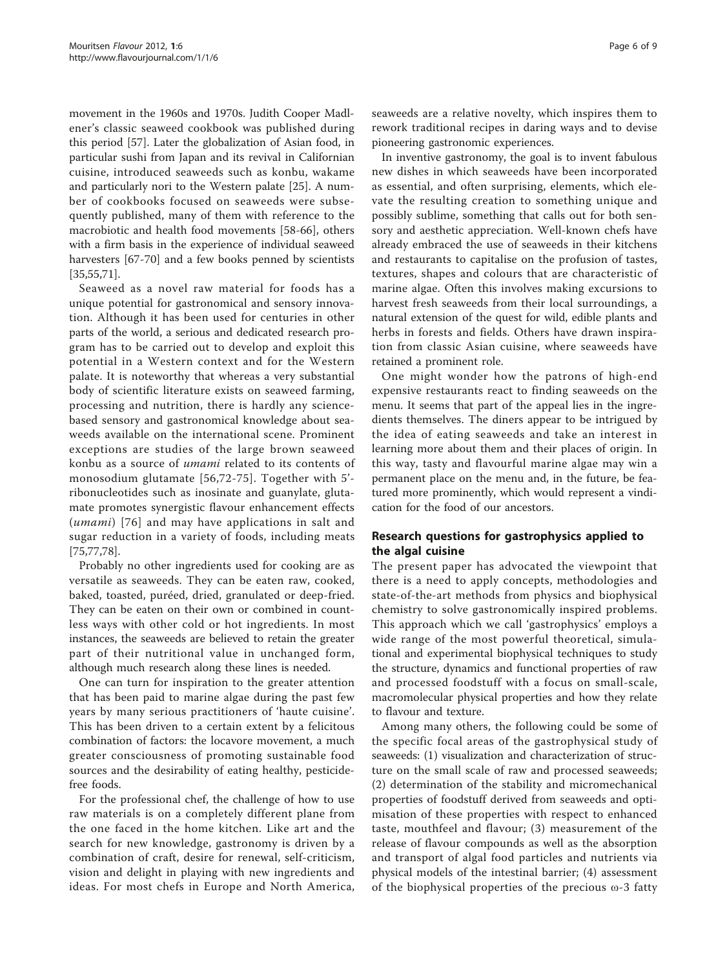movement in the 1960s and 1970s. Judith Cooper Madlener's classic seaweed cookbook was published during this period [\[57](#page-8-0)]. Later the globalization of Asian food, in particular sushi from Japan and its revival in Californian cuisine, introduced seaweeds such as konbu, wakame and particularly nori to the Western palate [[25\]](#page-7-0). A number of cookbooks focused on seaweeds were subsequently published, many of them with reference to the macrobiotic and health food movements [[58-66](#page-8-0)], others with a firm basis in the experience of individual seaweed harvesters [[67-70](#page-8-0)] and a few books penned by scientists [[35,](#page-7-0)[55,71](#page-8-0)].

Seaweed as a novel raw material for foods has a unique potential for gastronomical and sensory innovation. Although it has been used for centuries in other parts of the world, a serious and dedicated research program has to be carried out to develop and exploit this potential in a Western context and for the Western palate. It is noteworthy that whereas a very substantial body of scientific literature exists on seaweed farming, processing and nutrition, there is hardly any sciencebased sensory and gastronomical knowledge about seaweeds available on the international scene. Prominent exceptions are studies of the large brown seaweed konbu as a source of umami related to its contents of monosodium glutamate [[56](#page-8-0),[72](#page-8-0)-[75](#page-8-0)]. Together with 5' ribonucleotides such as inosinate and guanylate, glutamate promotes synergistic flavour enhancement effects (umami) [[76\]](#page-8-0) and may have applications in salt and sugar reduction in a variety of foods, including meats [[75,77,78](#page-8-0)].

Probably no other ingredients used for cooking are as versatile as seaweeds. They can be eaten raw, cooked, baked, toasted, puréed, dried, granulated or deep-fried. They can be eaten on their own or combined in countless ways with other cold or hot ingredients. In most instances, the seaweeds are believed to retain the greater part of their nutritional value in unchanged form, although much research along these lines is needed.

One can turn for inspiration to the greater attention that has been paid to marine algae during the past few years by many serious practitioners of 'haute cuisine'. This has been driven to a certain extent by a felicitous combination of factors: the locavore movement, a much greater consciousness of promoting sustainable food sources and the desirability of eating healthy, pesticidefree foods.

For the professional chef, the challenge of how to use raw materials is on a completely different plane from the one faced in the home kitchen. Like art and the search for new knowledge, gastronomy is driven by a combination of craft, desire for renewal, self-criticism, vision and delight in playing with new ingredients and ideas. For most chefs in Europe and North America,

seaweeds are a relative novelty, which inspires them to rework traditional recipes in daring ways and to devise pioneering gastronomic experiences.

In inventive gastronomy, the goal is to invent fabulous new dishes in which seaweeds have been incorporated as essential, and often surprising, elements, which elevate the resulting creation to something unique and possibly sublime, something that calls out for both sensory and aesthetic appreciation. Well-known chefs have already embraced the use of seaweeds in their kitchens and restaurants to capitalise on the profusion of tastes, textures, shapes and colours that are characteristic of marine algae. Often this involves making excursions to harvest fresh seaweeds from their local surroundings, a natural extension of the quest for wild, edible plants and herbs in forests and fields. Others have drawn inspiration from classic Asian cuisine, where seaweeds have retained a prominent role.

One might wonder how the patrons of high-end expensive restaurants react to finding seaweeds on the menu. It seems that part of the appeal lies in the ingredients themselves. The diners appear to be intrigued by the idea of eating seaweeds and take an interest in learning more about them and their places of origin. In this way, tasty and flavourful marine algae may win a permanent place on the menu and, in the future, be featured more prominently, which would represent a vindication for the food of our ancestors.

# Research questions for gastrophysics applied to the algal cuisine

The present paper has advocated the viewpoint that there is a need to apply concepts, methodologies and state-of-the-art methods from physics and biophysical chemistry to solve gastronomically inspired problems. This approach which we call 'gastrophysics' employs a wide range of the most powerful theoretical, simulational and experimental biophysical techniques to study the structure, dynamics and functional properties of raw and processed foodstuff with a focus on small-scale, macromolecular physical properties and how they relate to flavour and texture.

Among many others, the following could be some of the specific focal areas of the gastrophysical study of seaweeds: (1) visualization and characterization of structure on the small scale of raw and processed seaweeds; (2) determination of the stability and micromechanical properties of foodstuff derived from seaweeds and optimisation of these properties with respect to enhanced taste, mouthfeel and flavour; (3) measurement of the release of flavour compounds as well as the absorption and transport of algal food particles and nutrients via physical models of the intestinal barrier; (4) assessment of the biophysical properties of the precious ω-3 fatty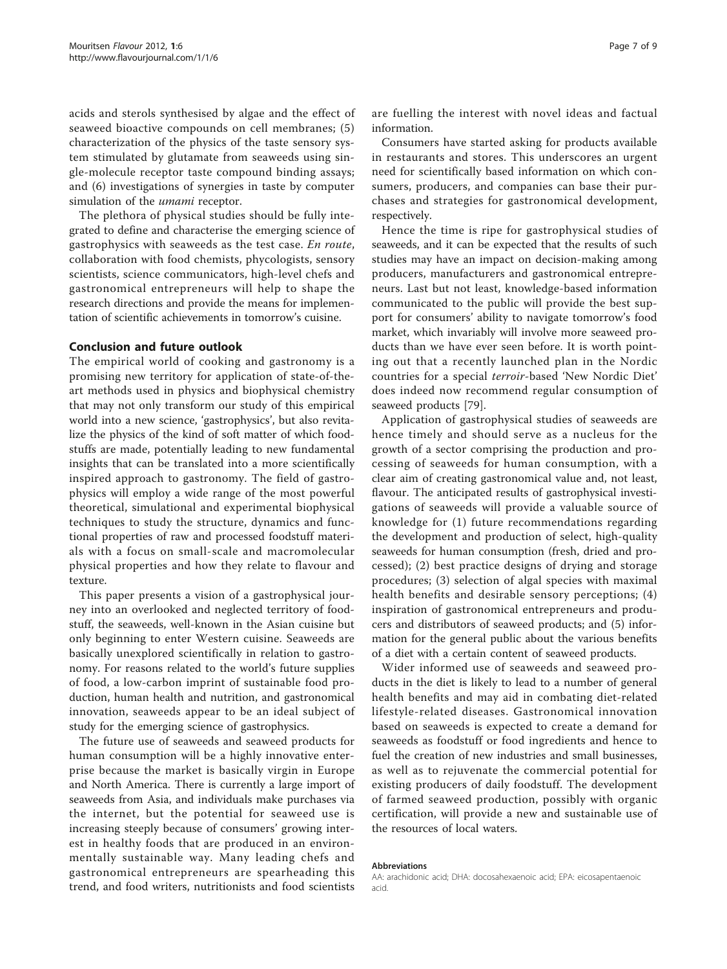acids and sterols synthesised by algae and the effect of seaweed bioactive compounds on cell membranes; (5) characterization of the physics of the taste sensory system stimulated by glutamate from seaweeds using single-molecule receptor taste compound binding assays; and (6) investigations of synergies in taste by computer simulation of the *umami* receptor.

The plethora of physical studies should be fully integrated to define and characterise the emerging science of gastrophysics with seaweeds as the test case. En route, collaboration with food chemists, phycologists, sensory scientists, science communicators, high-level chefs and gastronomical entrepreneurs will help to shape the research directions and provide the means for implementation of scientific achievements in tomorrow's cuisine.

# Conclusion and future outlook

The empirical world of cooking and gastronomy is a promising new territory for application of state-of-theart methods used in physics and biophysical chemistry that may not only transform our study of this empirical world into a new science, 'gastrophysics', but also revitalize the physics of the kind of soft matter of which foodstuffs are made, potentially leading to new fundamental insights that can be translated into a more scientifically inspired approach to gastronomy. The field of gastrophysics will employ a wide range of the most powerful theoretical, simulational and experimental biophysical techniques to study the structure, dynamics and functional properties of raw and processed foodstuff materials with a focus on small-scale and macromolecular physical properties and how they relate to flavour and texture.

This paper presents a vision of a gastrophysical journey into an overlooked and neglected territory of foodstuff, the seaweeds, well-known in the Asian cuisine but only beginning to enter Western cuisine. Seaweeds are basically unexplored scientifically in relation to gastronomy. For reasons related to the world's future supplies of food, a low-carbon imprint of sustainable food production, human health and nutrition, and gastronomical innovation, seaweeds appear to be an ideal subject of study for the emerging science of gastrophysics.

The future use of seaweeds and seaweed products for human consumption will be a highly innovative enterprise because the market is basically virgin in Europe and North America. There is currently a large import of seaweeds from Asia, and individuals make purchases via the internet, but the potential for seaweed use is increasing steeply because of consumers' growing interest in healthy foods that are produced in an environmentally sustainable way. Many leading chefs and gastronomical entrepreneurs are spearheading this trend, and food writers, nutritionists and food scientists are fuelling the interest with novel ideas and factual information.

Consumers have started asking for products available in restaurants and stores. This underscores an urgent need for scientifically based information on which consumers, producers, and companies can base their purchases and strategies for gastronomical development, respectively.

Hence the time is ripe for gastrophysical studies of seaweeds, and it can be expected that the results of such studies may have an impact on decision-making among producers, manufacturers and gastronomical entrepreneurs. Last but not least, knowledge-based information communicated to the public will provide the best support for consumers' ability to navigate tomorrow's food market, which invariably will involve more seaweed products than we have ever seen before. It is worth pointing out that a recently launched plan in the Nordic countries for a special terroir-based 'New Nordic Diet' does indeed now recommend regular consumption of seaweed products [\[79](#page-8-0)].

Application of gastrophysical studies of seaweeds are hence timely and should serve as a nucleus for the growth of a sector comprising the production and processing of seaweeds for human consumption, with a clear aim of creating gastronomical value and, not least, flavour. The anticipated results of gastrophysical investigations of seaweeds will provide a valuable source of knowledge for (1) future recommendations regarding the development and production of select, high-quality seaweeds for human consumption (fresh, dried and processed); (2) best practice designs of drying and storage procedures; (3) selection of algal species with maximal health benefits and desirable sensory perceptions; (4) inspiration of gastronomical entrepreneurs and producers and distributors of seaweed products; and (5) information for the general public about the various benefits of a diet with a certain content of seaweed products.

Wider informed use of seaweeds and seaweed products in the diet is likely to lead to a number of general health benefits and may aid in combating diet-related lifestyle-related diseases. Gastronomical innovation based on seaweeds is expected to create a demand for seaweeds as foodstuff or food ingredients and hence to fuel the creation of new industries and small businesses, as well as to rejuvenate the commercial potential for existing producers of daily foodstuff. The development of farmed seaweed production, possibly with organic certification, will provide a new and sustainable use of the resources of local waters.

#### Abbreviations

AA: arachidonic acid; DHA: docosahexaenoic acid; EPA: eicosapentaenoic acid.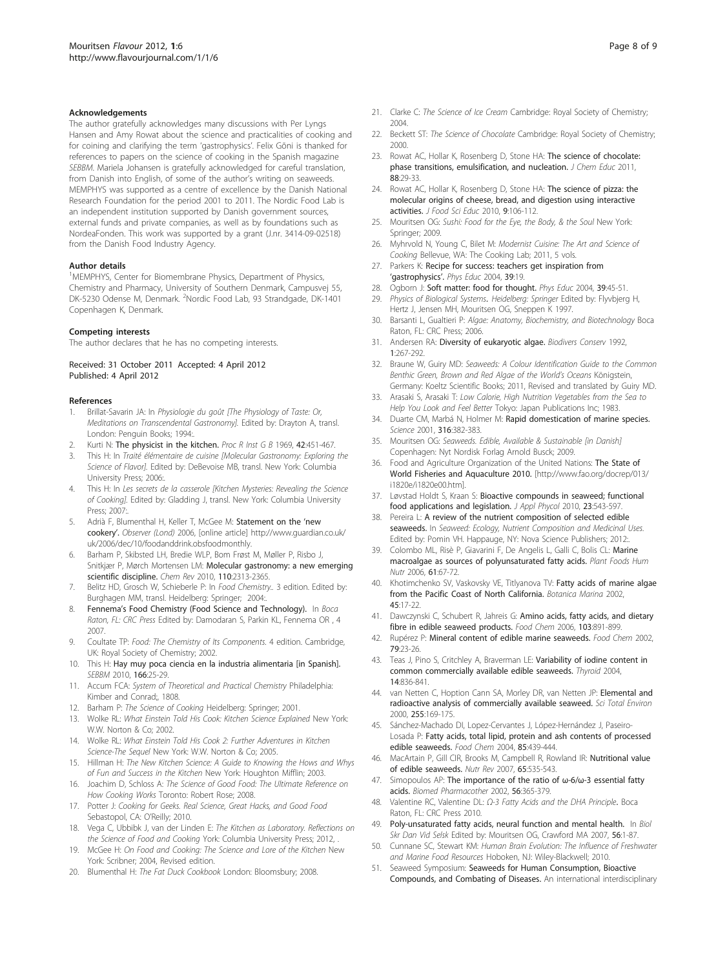#### <span id="page-7-0"></span>Acknowledgements

The author gratefully acknowledges many discussions with Per Lyngs Hansen and Amy Rowat about the science and practicalities of cooking and for coining and clarifying the term 'gastrophysics'. Felix Gõni is thanked for references to papers on the science of cooking in the Spanish magazine SEBBM. Mariela Johansen is gratefully acknowledged for careful translation, from Danish into English, of some of the author's writing on seaweeds. MEMPHYS was supported as a centre of excellence by the Danish National Research Foundation for the period 2001 to 2011. The Nordic Food Lab is an independent institution supported by Danish government sources, external funds and private companies, as well as by foundations such as NordeaFonden. This work was supported by a grant (J.nr. 3414-09-02518) from the Danish Food Industry Agency.

#### Author details

<sup>1</sup>MEMPHYS, Center for Biomembrane Physics, Department of Physics, Chemistry and Pharmacy, University of Southern Denmark, Campusvej 55, DK-5230 Odense M, Denmark. <sup>2</sup>Nordic Food Lab, 93 Strandgade, DK-1401 Copenhagen K, Denmark.

#### Competing interests

The author declares that he has no competing interests.

#### Received: 31 October 2011 Accepted: 4 April 2012 Published: 4 April 2012

#### References

- Brillat-Savarin JA: In Physiologie du goût [The Physiology of Taste: Or, Meditations on Transcendental Gastronomy]. Edited by: Drayton A, transl. London: Penguin Books; 1994:.
- Kurti N: The physicist in the kitchen. Proc R Inst G B 1969, 42:451-467.
- 3. This H: In Traité élémentaire de cuisine [Molecular Gastronomy: Exploring the Science of Flavor]. Edited by: DeBevoise MB, transl. New York: Columbia University Press; 2006:.
- 4. This H: In Les secrets de la casserole [Kitchen Mysteries: Revealing the Science of Cooking]. Edited by: Gladding J, transl. New York: Columbia University Press; 2007:.
- 5. Adrià F, Blumenthal H, Keller T, McGee M: Statement on the 'new cookery'. Observer (Lond) 2006, [online article] http://www.guardian.co.uk/ uk/2006/dec/10/foodanddrink.obsfoodmonthly.
- 6. Barham P, Skibsted LH, Bredie WLP, Bom Frøst M, Møller P, Risbo J, Snitkjær P, Mørch Mortensen LM: Molecular gastronomy: a new emerging scientific discipline. Chem Rev 2010, 110:2313-2365.
- Belitz HD, Grosch W, Schieberle P: In Food Chemistry.. 3 edition. Edited by: Burghagen MM, transl. Heidelberg: Springer; 2004:.
- 8. Fennema's Food Chemistry (Food Science and Technology). In Boca Raton, FL: CRC Press Edited by: Damodaran S, Parkin KL, Fennema OR , 4 2007.
- 9. Coultate TP: Food: The Chemistry of Its Components. 4 edition. Cambridge, UK: Royal Society of Chemistry; 2002.
- 10. This H: Hay muy poca ciencia en la industria alimentaria [in Spanish]. SEBBM 2010, 166:25-29.
- 11. Accum FCA: System of Theoretical and Practical Chemistry Philadelphia: Kimber and Conrad;, 1808.
- 12. Barham P: The Science of Cooking Heidelberg: Springer; 2001.
- 13. Wolke RL: What Einstein Told His Cook: Kitchen Science Explained New York: W.W. Norton & Co; 2002.
- 14. Wolke RL: What Einstein Told His Cook 2: Further Adventures in Kitchen Science-The Sequel New York: W.W. Norton & Co; 2005.
- 15. Hillman H: The New Kitchen Science: A Guide to Knowing the Hows and Whys of Fun and Success in the Kitchen New York: Houghton Mifflin; 2003.
- 16. Joachim D, Schloss A: The Science of Good Food: The Ultimate Reference on How Cooking Works Toronto: Robert Rose; 2008.
- 17. Potter J: Cooking for Geeks. Real Science, Great Hacks, and Good Food Sebastopol, CA: O'Reilly; 2010.
- 18. Vega C, Ubbibk J, van der Linden E: The Kitchen as Laboratory. Reflections on the Science of Food and Cooking York: Columbia University Press; 2012,
- 19. McGee H: On Food and Cooking: The Science and Lore of the Kitchen New York: Scribner; 2004, Revised edition.
- 20. Blumenthal H: The Fat Duck Cookbook London: Bloomsbury; 2008.
- 21. Clarke C: The Science of Ice Cream Cambridge: Royal Society of Chemistry: 2004.
- 22. Beckett ST: The Science of Chocolate Cambridge: Royal Society of Chemistry; 2000.
- 23. Rowat AC, Hollar K, Rosenberg D, Stone HA: The science of chocolate: phase transitions, emulsification, and nucleation. *J Chem Educ* 2011, 88:29-33.
- 24. Rowat AC, Hollar K, Rosenberg D, Stone HA: The science of pizza: the molecular origins of cheese, bread, and digestion using interactive activities. J Food Sci Educ 2010, 9:106-112.
- 25. Mouritsen OG: Sushi: Food for the Eye, the Body, & the Soul New York: Springer; 2009.
- 26. Myhrvold N, Young C, Bilet M: Modernist Cuisine: The Art and Science of Cooking Bellevue, WA: The Cooking Lab; 2011, 5 vols.
- 27. Parkers K: Recipe for success: teachers get inspiration from 'gastrophysics'. Phys Educ 2004, 39:19.
- 28. Ogborn J: Soft matter: food for thought. Phys Educ 2004, 39:45-51.
- 29. Physics of Biological Systems. Heidelberg: Springer Edited by: Flyvbjerg H, Hertz J, Jensen MH, Mouritsen OG, Sneppen K 1997.
- 30. Barsanti L, Gualtieri P: Algae: Anatomy, Biochemistry, and Biotechnology Boca Raton, FL: CRC Press; 2006.
- 31. Andersen RA: Diversity of eukaryotic algae. Biodivers Conserv 1992, 1:267-292.
- 32. Braune W, Guiry MD: Seaweeds: A Colour Identification Guide to the Common Benthic Green, Brown and Red Algae of the World's Oceans Königstein, Germany: Koeltz Scientific Books; 2011, Revised and translated by Guiry MD.
- 33. Arasaki S, Arasaki T: Low Calorie, High Nutrition Vegetables from the Sea to Help You Look and Feel Better Tokyo: Japan Publications Inc; 1983.
- Duarte CM, Marbá N, Holmer M: Rapid domestication of marine species. Science 2001, 316:382-383.
- 35. Mouritsen OG: Seaweeds. Edible, Available & Sustainable [in Danish] Copenhagen: Nyt Nordisk Forlag Arnold Busck; 2009.
- 36. Food and Agriculture Organization of the United Nations: The State of World Fisheries and Aquaculture 2010. [[http://www.fao.org/docrep/013/](http://www.fao.org/docrep/013/i1820e/i1820e00.htm) [i1820e/i1820e00.htm\]](http://www.fao.org/docrep/013/i1820e/i1820e00.htm).
- 37. Løvstad Holdt S, Kraan S: Bioactive compounds in seaweed; functional food applications and legislation. J Appl Phycol 2010, 23:543-597.
- 38. Pereira L: A review of the nutrient composition of selected edible seaweeds. In Seaweed: Ecology, Nutrient Composition and Medicinal Uses. Edited by: Pomin VH. Happauge, NY: Nova Science Publishers; 2012:.
- 39. Colombo ML, Risè P, Giavarini F, De Angelis L, Galli C, Bolis CL: Marine macroalgae as sources of polyunsaturated fatty acids. Plant Foods Hum Nutr 2006, 61:67-72.
- 40. Khotimchenko SV, Vaskovsky VE, Titlyanova TV: Fatty acids of marine algae from the Pacific Coast of North California. Botanica Marina 2002, 45:17-22.
- 41. Dawczynski C, Schubert R, Jahreis G: Amino acids, fatty acids, and dietary fibre in edible seaweed products. Food Chem 2006, 103:891-899.
- Rupérez P: Mineral content of edible marine seaweeds. Food Chem 2002, 79:23-26.
- 43. Teas J, Pino S, Critchley A, Braverman LE: Variability of iodine content in common commercially available edible seaweeds. Thyroid 2004, 14:836-841.
- 44. van Netten C, Hoption Cann SA, Morley DR, van Netten JP: Elemental and radioactive analysis of commercially available seaweed. Sci Total Environ 2000, 255:169-175.
- 45. Sánchez-Machado DI, Lopez-Cervantes J, López-Hernández J, Paseiro-Losada P: Fatty acids, total lipid, protein and ash contents of processed edible seaweeds. Food Chem 2004, 85:439-444.
- 46. MacArtain P, Gill CIR, Brooks M, Campbell R, Rowland IR: Nutritional value of edible seaweeds. Nutr Rev 2007, 65:535-543.
- 47. Simopoulos AP: The importance of the ratio of ω-6/ω-3 essential fatty acids. Biomed Pharmacother 2002, 56:365-379.
- 48. Valentine RC, Valentine DL: Ω-3 Fatty Acids and the DHA Principle. Boca Raton, FL: CRC Press 2010.
- 49. Poly-unsaturated fatty acids, neural function and mental health. In Biol Skr Dan Vid Selsk Edited by: Mouritsen OG, Crawford MA 2007, 56:1-87.
- 50. Cunnane SC, Stewart KM: Human Brain Evolution: The Influence of Freshwater and Marine Food Resources Hoboken, NJ: Wiley-Blackwell; 2010.
- 51. Seaweed Symposium: Seaweeds for Human Consumption, Bioactive Compounds, and Combating of Diseases. An international interdisciplinary